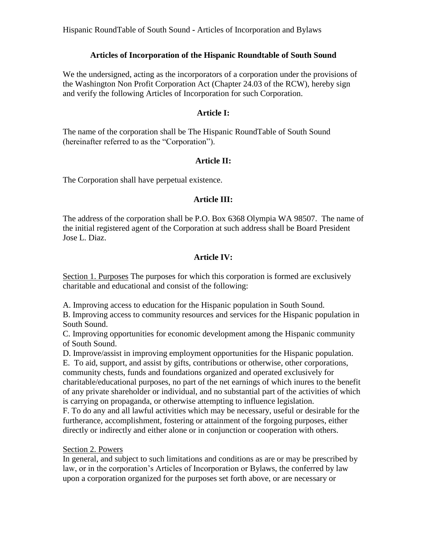## **Articles of Incorporation of the Hispanic Roundtable of South Sound**

We the undersigned, acting as the incorporators of a corporation under the provisions of the Washington Non Profit Corporation Act (Chapter 24.03 of the RCW), hereby sign and verify the following Articles of Incorporation for such Corporation.

### **Article I:**

The name of the corporation shall be The Hispanic RoundTable of South Sound (hereinafter referred to as the "Corporation").

## **Article II:**

The Corporation shall have perpetual existence.

## **Article III:**

The address of the corporation shall be P.O. Box 6368 Olympia WA 98507. The name of the initial registered agent of the Corporation at such address shall be Board President Jose L. Diaz.

# **Article IV:**

Section 1. Purposes The purposes for which this corporation is formed are exclusively charitable and educational and consist of the following:

A. Improving access to education for the Hispanic population in South Sound.

B. Improving access to community resources and services for the Hispanic population in South Sound.

C. Improving opportunities for economic development among the Hispanic community of South Sound.

D. Improve/assist in improving employment opportunities for the Hispanic population.

E. To aid, support, and assist by gifts, contributions or otherwise, other corporations, community chests, funds and foundations organized and operated exclusively for charitable/educational purposes, no part of the net earnings of which inures to the benefit of any private shareholder or individual, and no substantial part of the activities of which is carrying on propaganda, or otherwise attempting to influence legislation.

F. To do any and all lawful activities which may be necessary, useful or desirable for the furtherance, accomplishment, fostering or attainment of the forgoing purposes, either directly or indirectly and either alone or in conjunction or cooperation with others.

#### Section 2. Powers

In general, and subject to such limitations and conditions as are or may be prescribed by law, or in the corporation's Articles of Incorporation or Bylaws, the conferred by law upon a corporation organized for the purposes set forth above, or are necessary or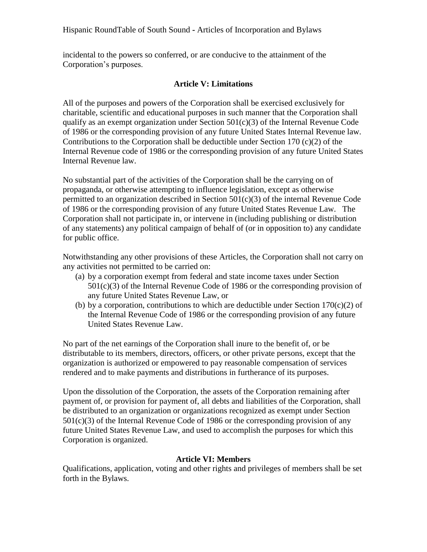incidental to the powers so conferred, or are conducive to the attainment of the Corporation's purposes.

### **Article V: Limitations**

All of the purposes and powers of the Corporation shall be exercised exclusively for charitable, scientific and educational purposes in such manner that the Corporation shall qualify as an exempt organization under Section  $501(c)(3)$  of the Internal Revenue Code of 1986 or the corresponding provision of any future United States Internal Revenue law. Contributions to the Corporation shall be deductible under Section 170  $(c)(2)$  of the Internal Revenue code of 1986 or the corresponding provision of any future United States Internal Revenue law.

No substantial part of the activities of the Corporation shall be the carrying on of propaganda, or otherwise attempting to influence legislation, except as otherwise permitted to an organization described in Section 501(c)(3) of the internal Revenue Code of 1986 or the corresponding provision of any future United States Revenue Law. The Corporation shall not participate in, or intervene in (including publishing or distribution of any statements) any political campaign of behalf of (or in opposition to) any candidate for public office.

Notwithstanding any other provisions of these Articles, the Corporation shall not carry on any activities not permitted to be carried on:

- (a) by a corporation exempt from federal and state income taxes under Section 501(c)(3) of the Internal Revenue Code of 1986 or the corresponding provision of any future United States Revenue Law, or
- (b) by a corporation, contributions to which are deductible under Section  $170(c)(2)$  of the Internal Revenue Code of 1986 or the corresponding provision of any future United States Revenue Law.

No part of the net earnings of the Corporation shall inure to the benefit of, or be distributable to its members, directors, officers, or other private persons, except that the organization is authorized or empowered to pay reasonable compensation of services rendered and to make payments and distributions in furtherance of its purposes.

Upon the dissolution of the Corporation, the assets of the Corporation remaining after payment of, or provision for payment of, all debts and liabilities of the Corporation, shall be distributed to an organization or organizations recognized as exempt under Section  $501(c)(3)$  of the Internal Revenue Code of 1986 or the corresponding provision of any future United States Revenue Law, and used to accomplish the purposes for which this Corporation is organized.

#### **Article VI: Members**

Qualifications, application, voting and other rights and privileges of members shall be set forth in the Bylaws.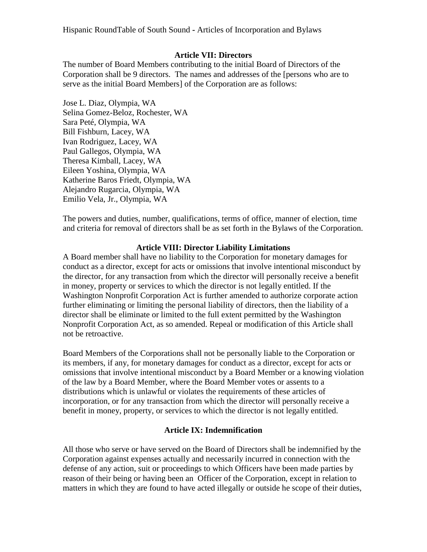### **Article VII: Directors**

The number of Board Members contributing to the initial Board of Directors of the Corporation shall be 9 directors. The names and addresses of the [persons who are to serve as the initial Board Members] of the Corporation are as follows:

Jose L. Diaz, Olympia, WA Selina Gomez-Beloz, Rochester, WA Sara Peté, Olympia, WA Bill Fishburn, Lacey, WA Ivan Rodriguez, Lacey, WA Paul Gallegos, Olympia, WA Theresa Kimball, Lacey, WA Eileen Yoshina, Olympia, WA Katherine Baros Friedt, Olympia, WA Alejandro Rugarcia, Olympia, WA Emilio Vela, Jr., Olympia, WA

The powers and duties, number, qualifications, terms of office, manner of election, time and criteria for removal of directors shall be as set forth in the Bylaws of the Corporation.

#### **Article VIII: Director Liability Limitations**

A Board member shall have no liability to the Corporation for monetary damages for conduct as a director, except for acts or omissions that involve intentional misconduct by the director, for any transaction from which the director will personally receive a benefit in money, property or services to which the director is not legally entitled. If the Washington Nonprofit Corporation Act is further amended to authorize corporate action further eliminating or limiting the personal liability of directors, then the liability of a director shall be eliminate or limited to the full extent permitted by the Washington Nonprofit Corporation Act, as so amended. Repeal or modification of this Article shall not be retroactive.

Board Members of the Corporations shall not be personally liable to the Corporation or its members, if any, for monetary damages for conduct as a director, except for acts or omissions that involve intentional misconduct by a Board Member or a knowing violation of the law by a Board Member, where the Board Member votes or assents to a distributions which is unlawful or violates the requirements of these articles of incorporation, or for any transaction from which the director will personally receive a benefit in money, property, or services to which the director is not legally entitled.

# **Article IX: Indemnification**

All those who serve or have served on the Board of Directors shall be indemnified by the Corporation against expenses actually and necessarily incurred in connection with the defense of any action, suit or proceedings to which Officers have been made parties by reason of their being or having been an Officer of the Corporation, except in relation to matters in which they are found to have acted illegally or outside he scope of their duties,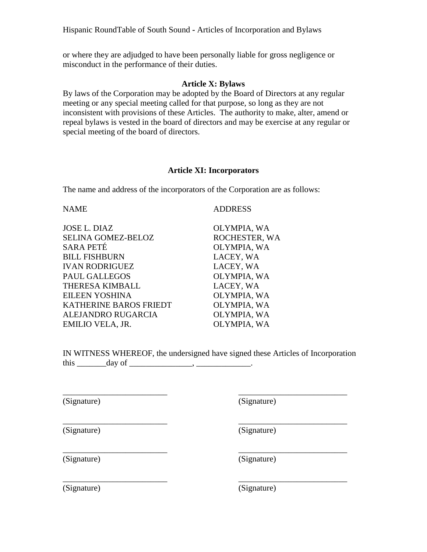or where they are adjudged to have been personally liable for gross negligence or misconduct in the performance of their duties.

#### **Article X: Bylaws**

By laws of the Corporation may be adopted by the Board of Directors at any regular meeting or any special meeting called for that purpose, so long as they are not inconsistent with provisions of these Articles. The authority to make, alter, amend or repeal bylaws is vested in the board of directors and may be exercise at any regular or special meeting of the board of directors.

## **Article XI: Incorporators**

The name and address of the incorporators of the Corporation are as follows:

| <b>NAME</b>               | <b>ADDRESS</b> |
|---------------------------|----------------|
| JOSE L. DIAZ              | OLYMPIA, WA    |
| <b>SELINA GOMEZ-BELOZ</b> | ROCHESTER, WA  |
| SARA PETÉ                 | OLYMPIA, WA    |
| <b>BILL FISHBURN</b>      | LACEY, WA      |
| <b>IVAN RODRIGUEZ</b>     | LACEY, WA      |
| <b>PAUL GALLEGOS</b>      | OLYMPIA, WA    |
| THERESA KIMBALL           | LACEY, WA      |
| EILEEN YOSHINA            | OLYMPIA, WA    |
| KATHERINE BAROS FRIEDT    | OLYMPIA, WA    |
| ALEJANDRO RUGARCIA        | OLYMPIA, WA    |
| EMILIO VELA, JR.          | OLYMPIA, WA    |
|                           |                |

IN WITNESS WHEREOF, the undersigned have signed these Articles of Incorporation this  $\qquad \qquad \text{day of} \qquad \qquad \text{,} \qquad \text{.}$ 

\_\_\_\_\_\_\_\_\_\_\_\_\_\_\_\_\_\_\_\_\_\_\_\_\_ \_\_\_\_\_\_\_\_\_\_\_\_\_\_\_\_\_\_\_\_\_\_\_\_\_\_

\_\_\_\_\_\_\_\_\_\_\_\_\_\_\_\_\_\_\_\_\_\_\_\_\_ \_\_\_\_\_\_\_\_\_\_\_\_\_\_\_\_\_\_\_\_\_\_\_\_\_\_

\_\_\_\_\_\_\_\_\_\_\_\_\_\_\_\_\_\_\_\_\_\_\_\_\_ \_\_\_\_\_\_\_\_\_\_\_\_\_\_\_\_\_\_\_\_\_\_\_\_\_\_

\_\_\_\_\_\_\_\_\_\_\_\_\_\_\_\_\_\_\_\_\_\_\_\_\_ \_\_\_\_\_\_\_\_\_\_\_\_\_\_\_\_\_\_\_\_\_\_\_\_\_\_

(Signature) (Signature)

(Signature) (Signature)

(Signature) (Signature)

(Signature) (Signature)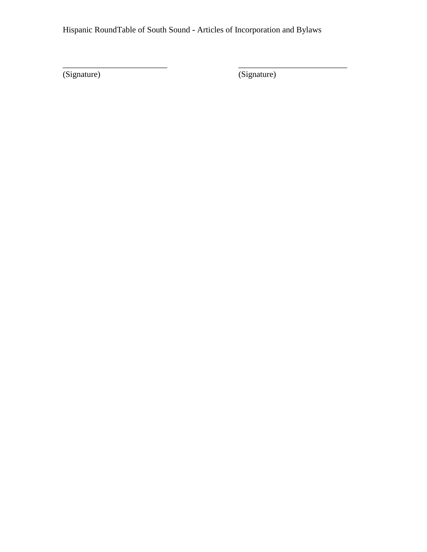\_\_\_\_\_\_\_\_\_\_\_\_\_\_\_\_\_\_\_\_\_\_\_\_\_ \_\_\_\_\_\_\_\_\_\_\_\_\_\_\_\_\_\_\_\_\_\_\_\_\_\_

(Signature) (Signature)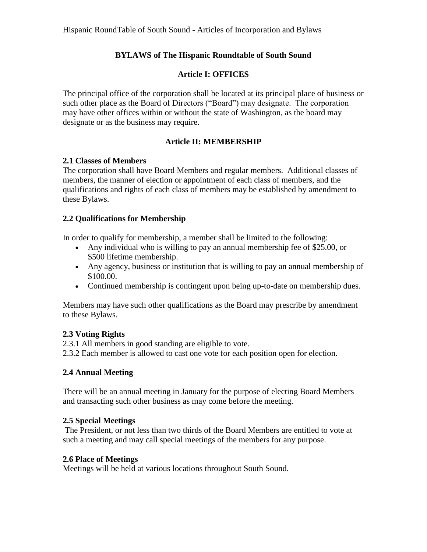# **BYLAWS of The Hispanic Roundtable of South Sound**

# **Article I: OFFICES**

The principal office of the corporation shall be located at its principal place of business or such other place as the Board of Directors ("Board") may designate. The corporation may have other offices within or without the state of Washington, as the board may designate or as the business may require.

# **Article II: MEMBERSHIP**

# **2.1 Classes of Members**

The corporation shall have Board Members and regular members. Additional classes of members, the manner of election or appointment of each class of members, and the qualifications and rights of each class of members may be established by amendment to these Bylaws.

# **2.2 Qualifications for Membership**

In order to qualify for membership, a member shall be limited to the following:

- Any individual who is willing to pay an annual membership fee of \$25.00, or \$500 lifetime membership.
- Any agency, business or institution that is willing to pay an annual membership of \$100.00.
- Continued membership is contingent upon being up-to-date on membership dues.

Members may have such other qualifications as the Board may prescribe by amendment to these Bylaws.

# **2.3 Voting Rights**

2.3.1 All members in good standing are eligible to vote.

2.3.2 Each member is allowed to cast one vote for each position open for election.

# **2.4 Annual Meeting**

There will be an annual meeting in January for the purpose of electing Board Members and transacting such other business as may come before the meeting.

# **2.5 Special Meetings**

The President, or not less than two thirds of the Board Members are entitled to vote at such a meeting and may call special meetings of the members for any purpose.

# **2.6 Place of Meetings**

Meetings will be held at various locations throughout South Sound.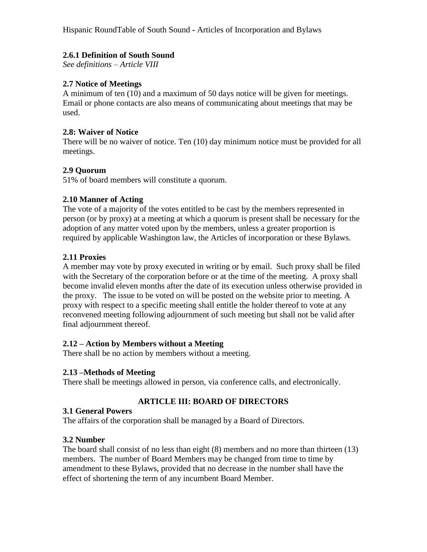# **2.6.1 Definition of South Sound**

*See definitions – Article VIII*

## **2.7 Notice of Meetings**

A minimum of ten (10) and a maximum of 50 days notice will be given for meetings. Email or phone contacts are also means of communicating about meetings that may be used.

#### **2.8: Waiver of Notice**

There will be no waiver of notice. Ten (10) day minimum notice must be provided for all meetings.

## **2.9 Quorum**

51% of board members will constitute a quorum.

#### **2.10 Manner of Acting**

The vote of a majority of the votes entitled to be cast by the members represented in person (or by proxy) at a meeting at which a quorum is present shall be necessary for the adoption of any matter voted upon by the members, unless a greater proportion is required by applicable Washington law, the Articles of incorporation or these Bylaws.

#### **2.11 Proxies**

A member may vote by proxy executed in writing or by email. Such proxy shall be filed with the Secretary of the corporation before or at the time of the meeting. A proxy shall become invalid eleven months after the date of its execution unless otherwise provided in the proxy. The issue to be voted on will be posted on the website prior to meeting. A proxy with respect to a specific meeting shall entitle the holder thereof to vote at any reconvened meeting following adjournment of such meeting but shall not be valid after final adjournment thereof.

#### **2.12 – Action by Members without a Meeting**

There shall be no action by members without a meeting.

#### **2.13 –Methods of Meeting**

There shall be meetings allowed in person, via conference calls, and electronically.

#### **ARTICLE III: BOARD OF DIRECTORS**

#### **3.1 General Powers**

The affairs of the corporation shall be managed by a Board of Directors.

#### **3.2 Number**

The board shall consist of no less than eight (8) members and no more than thirteen (13) members. The number of Board Members may be changed from time to time by amendment to these Bylaws, provided that no decrease in the number shall have the effect of shortening the term of any incumbent Board Member.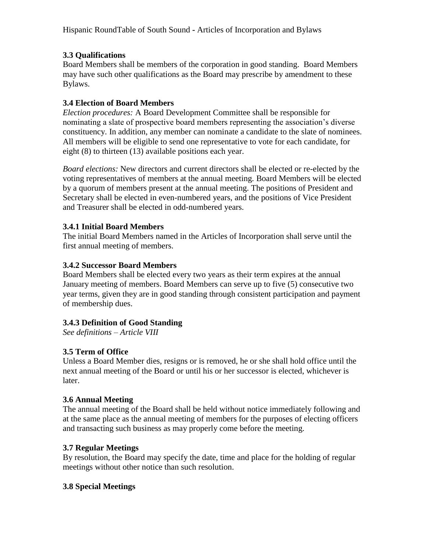# **3.3 Qualifications**

Board Members shall be members of the corporation in good standing. Board Members may have such other qualifications as the Board may prescribe by amendment to these Bylaws.

# **3.4 Election of Board Members**

*Election procedures:* A Board Development Committee shall be responsible for nominating a slate of prospective board members representing the association's diverse constituency. In addition, any member can nominate a candidate to the slate of nominees. All members will be eligible to send one representative to vote for each candidate, for eight (8) to thirteen (13) available positions each year.

*Board elections:* New directors and current directors shall be elected or re-elected by the voting representatives of members at the annual meeting. Board Members will be elected by a quorum of members present at the annual meeting. The positions of President and Secretary shall be elected in even-numbered years, and the positions of Vice President and Treasurer shall be elected in odd-numbered years.

# **3.4.1 Initial Board Members**

The initial Board Members named in the Articles of Incorporation shall serve until the first annual meeting of members.

# **3.4.2 Successor Board Members**

Board Members shall be elected every two years as their term expires at the annual January meeting of members. Board Members can serve up to five (5) consecutive two year terms, given they are in good standing through consistent participation and payment of membership dues.

# **3.4.3 Definition of Good Standing**

*See definitions – Article VIII*

# **3.5 Term of Office**

Unless a Board Member dies, resigns or is removed, he or she shall hold office until the next annual meeting of the Board or until his or her successor is elected, whichever is later.

# **3.6 Annual Meeting**

The annual meeting of the Board shall be held without notice immediately following and at the same place as the annual meeting of members for the purposes of electing officers and transacting such business as may properly come before the meeting.

# **3.7 Regular Meetings**

By resolution, the Board may specify the date, time and place for the holding of regular meetings without other notice than such resolution.

# **3.8 Special Meetings**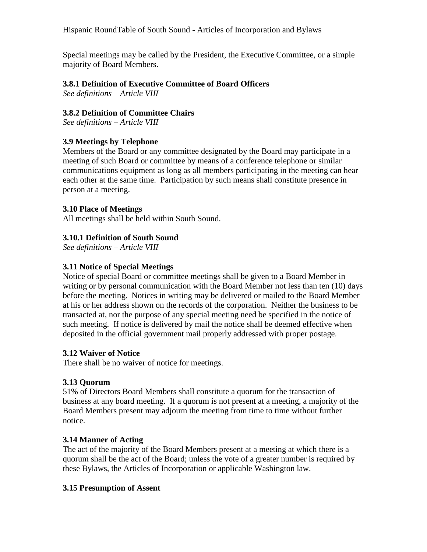Special meetings may be called by the President, the Executive Committee, or a simple majority of Board Members.

## **3.8.1 Definition of Executive Committee of Board Officers**

*See definitions – Article VIII*

## **3.8.2 Definition of Committee Chairs**

*See definitions – Article VIII*

## **3.9 Meetings by Telephone**

Members of the Board or any committee designated by the Board may participate in a meeting of such Board or committee by means of a conference telephone or similar communications equipment as long as all members participating in the meeting can hear each other at the same time. Participation by such means shall constitute presence in person at a meeting.

#### **3.10 Place of Meetings**

All meetings shall be held within South Sound.

## **3.10.1 Definition of South Sound**

*See definitions – Article VIII*

## **3.11 Notice of Special Meetings**

Notice of special Board or committee meetings shall be given to a Board Member in writing or by personal communication with the Board Member not less than ten (10) days before the meeting. Notices in writing may be delivered or mailed to the Board Member at his or her address shown on the records of the corporation. Neither the business to be transacted at, nor the purpose of any special meeting need be specified in the notice of such meeting. If notice is delivered by mail the notice shall be deemed effective when deposited in the official government mail properly addressed with proper postage.

#### **3.12 Waiver of Notice**

There shall be no waiver of notice for meetings.

#### **3.13 Quorum**

51% of Directors Board Members shall constitute a quorum for the transaction of business at any board meeting. If a quorum is not present at a meeting, a majority of the Board Members present may adjourn the meeting from time to time without further notice.

#### **3.14 Manner of Acting**

The act of the majority of the Board Members present at a meeting at which there is a quorum shall be the act of the Board; unless the vote of a greater number is required by these Bylaws, the Articles of Incorporation or applicable Washington law.

#### **3.15 Presumption of Assent**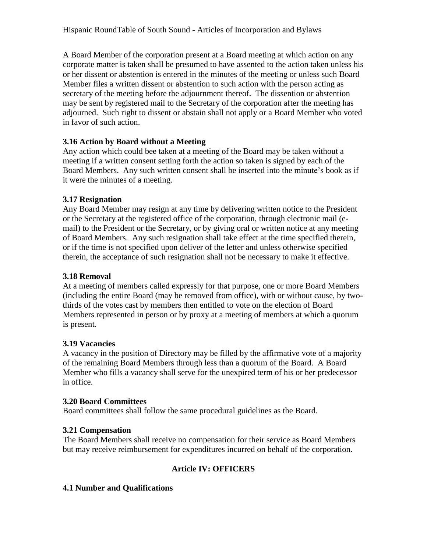A Board Member of the corporation present at a Board meeting at which action on any corporate matter is taken shall be presumed to have assented to the action taken unless his or her dissent or abstention is entered in the minutes of the meeting or unless such Board Member files a written dissent or abstention to such action with the person acting as secretary of the meeting before the adjournment thereof. The dissention or abstention may be sent by registered mail to the Secretary of the corporation after the meeting has adjourned. Such right to dissent or abstain shall not apply or a Board Member who voted in favor of such action.

# **3.16 Action by Board without a Meeting**

Any action which could bee taken at a meeting of the Board may be taken without a meeting if a written consent setting forth the action so taken is signed by each of the Board Members. Any such written consent shall be inserted into the minute's book as if it were the minutes of a meeting.

# **3.17 Resignation**

Any Board Member may resign at any time by delivering written notice to the President or the Secretary at the registered office of the corporation, through electronic mail (email) to the President or the Secretary, or by giving oral or written notice at any meeting of Board Members. Any such resignation shall take effect at the time specified therein, or if the time is not specified upon deliver of the letter and unless otherwise specified therein, the acceptance of such resignation shall not be necessary to make it effective.

# **3.18 Removal**

At a meeting of members called expressly for that purpose, one or more Board Members (including the entire Board (may be removed from office), with or without cause, by twothirds of the votes cast by members then entitled to vote on the election of Board Members represented in person or by proxy at a meeting of members at which a quorum is present.

# **3.19 Vacancies**

A vacancy in the position of Directory may be filled by the affirmative vote of a majority of the remaining Board Members through less than a quorum of the Board. A Board Member who fills a vacancy shall serve for the unexpired term of his or her predecessor in office.

#### **3.20 Board Committees**

Board committees shall follow the same procedural guidelines as the Board.

# **3.21 Compensation**

The Board Members shall receive no compensation for their service as Board Members but may receive reimbursement for expenditures incurred on behalf of the corporation.

# **Article IV: OFFICERS**

# **4.1 Number and Qualifications**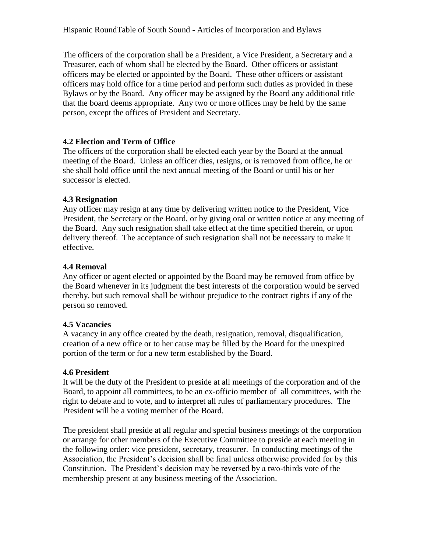The officers of the corporation shall be a President, a Vice President, a Secretary and a Treasurer, each of whom shall be elected by the Board. Other officers or assistant officers may be elected or appointed by the Board. These other officers or assistant officers may hold office for a time period and perform such duties as provided in these Bylaws or by the Board. Any officer may be assigned by the Board any additional title that the board deems appropriate. Any two or more offices may be held by the same person, except the offices of President and Secretary.

# **4.2 Election and Term of Office**

The officers of the corporation shall be elected each year by the Board at the annual meeting of the Board. Unless an officer dies, resigns, or is removed from office, he or she shall hold office until the next annual meeting of the Board or until his or her successor is elected.

## **4.3 Resignation**

Any officer may resign at any time by delivering written notice to the President, Vice President, the Secretary or the Board, or by giving oral or written notice at any meeting of the Board. Any such resignation shall take effect at the time specified therein, or upon delivery thereof. The acceptance of such resignation shall not be necessary to make it effective.

## **4.4 Removal**

Any officer or agent elected or appointed by the Board may be removed from office by the Board whenever in its judgment the best interests of the corporation would be served thereby, but such removal shall be without prejudice to the contract rights if any of the person so removed.

# **4.5 Vacancies**

A vacancy in any office created by the death, resignation, removal, disqualification, creation of a new office or to her cause may be filled by the Board for the unexpired portion of the term or for a new term established by the Board.

# **4.6 President**

It will be the duty of the President to preside at all meetings of the corporation and of the Board, to appoint all committees, to be an ex-officio member of all committees, with the right to debate and to vote, and to interpret all rules of parliamentary procedures. The President will be a voting member of the Board.

The president shall preside at all regular and special business meetings of the corporation or arrange for other members of the Executive Committee to preside at each meeting in the following order: vice president, secretary, treasurer. In conducting meetings of the Association, the President's decision shall be final unless otherwise provided for by this Constitution. The President's decision may be reversed by a two-thirds vote of the membership present at any business meeting of the Association.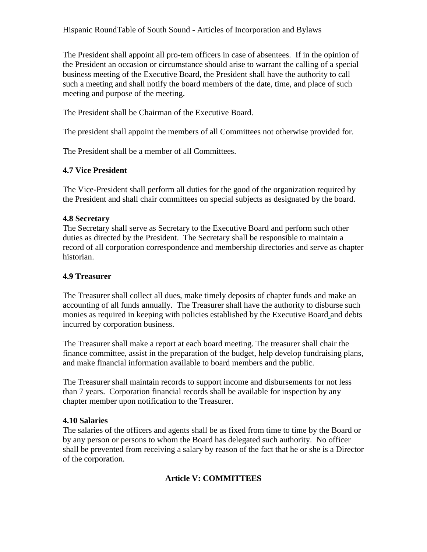The President shall appoint all pro-tem officers in case of absentees. If in the opinion of the President an occasion or circumstance should arise to warrant the calling of a special business meeting of the Executive Board, the President shall have the authority to call such a meeting and shall notify the board members of the date, time, and place of such meeting and purpose of the meeting.

The President shall be Chairman of the Executive Board.

The president shall appoint the members of all Committees not otherwise provided for.

The President shall be a member of all Committees.

## **4.7 Vice President**

The Vice-President shall perform all duties for the good of the organization required by the President and shall chair committees on special subjects as designated by the board.

## **4.8 Secretary**

The Secretary shall serve as Secretary to the Executive Board and perform such other duties as directed by the President. The Secretary shall be responsible to maintain a record of all corporation correspondence and membership directories and serve as chapter historian.

### **4.9 Treasurer**

The Treasurer shall collect all dues, make timely deposits of chapter funds and make an accounting of all funds annually. The Treasurer shall have the authority to disburse such monies as required in keeping with policies established by the Executive Board and debts incurred by corporation business.

The Treasurer shall make a report at each board meeting. The treasurer shall chair the finance committee, assist in the preparation of the budget, help develop fundraising plans, and make financial information available to board members and the public.

The Treasurer shall maintain records to support income and disbursements for not less than 7 years. Corporation financial records shall be available for inspection by any chapter member upon notification to the Treasurer.

#### **4.10 Salaries**

The salaries of the officers and agents shall be as fixed from time to time by the Board or by any person or persons to whom the Board has delegated such authority. No officer shall be prevented from receiving a salary by reason of the fact that he or she is a Director of the corporation.

# **Article V: COMMITTEES**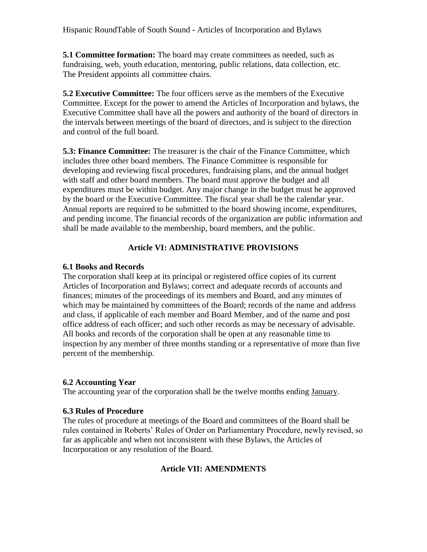**5.1 Committee formation:** The board may create committees as needed, such as fundraising, web, youth education, mentoring, public relations, data collection, etc. The President appoints all committee chairs.

**5.2 Executive Committee:** The four officers serve as the members of the Executive Committee. Except for the power to amend the Articles of Incorporation and bylaws, the Executive Committee shall have all the powers and authority of the board of directors in the intervals between meetings of the board of directors, and is subject to the direction and control of the full board.

**5.3: Finance Committee:** The treasurer is the chair of the Finance Committee, which includes three other board members. The Finance Committee is responsible for developing and reviewing fiscal procedures, fundraising plans, and the annual budget with staff and other board members. The board must approve the budget and all expenditures must be within budget. Any major change in the budget must be approved by the board or the Executive Committee. The fiscal year shall be the calendar year. Annual reports are required to be submitted to the board showing income, expenditures, and pending income. The financial records of the organization are public information and shall be made available to the membership, board members, and the public.

# **Article VI: ADMINISTRATIVE PROVISIONS**

# **6.1 Books and Records**

The corporation shall keep at its principal or registered office copies of its current Articles of Incorporation and Bylaws; correct and adequate records of accounts and finances; minutes of the proceedings of its members and Board, and any minutes of which may be maintained by committees of the Board; records of the name and address and class, if applicable of each member and Board Member, and of the name and post office address of each officer; and such other records as may be necessary of advisable. All books and records of the corporation shall be open at any reasonable time to inspection by any member of three months standing or a representative of more than five percent of the membership.

# **6.2 Accounting Year**

The accounting year of the corporation shall be the twelve months ending January.

# **6.3 Rules of Procedure**

The rules of procedure at meetings of the Board and committees of the Board shall be rules contained in Roberts' Rules of Order on Parliamentary Procedure, newly revised, so far as applicable and when not inconsistent with these Bylaws, the Articles of Incorporation or any resolution of the Board.

# **Article VII: AMENDMENTS**